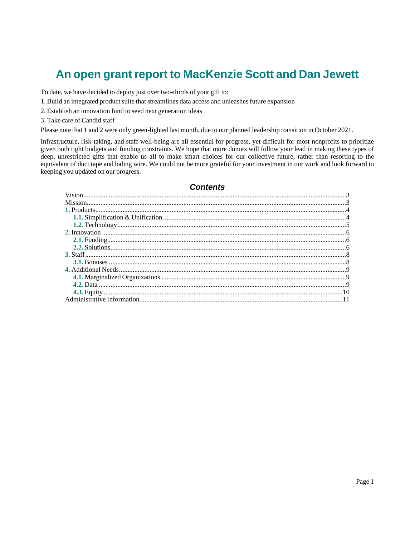# **An open grant report to MacKenzie Scott and Dan Jewett**

To date, we have decided to deploy just over two-thirds of your gift to:

1. Build an integrated product suite that streamlines data access and unleashes future expansion

2. Establish an innovation fund to seed next generation ideas

3. Take care of Candid staff

Please note that 1 and 2 were only green-lighted last month, due to our planned leadership transition in October 2021.

Infrastructure, risk-taking, and staff well-being are all essential for progress, yet difficult for most nonprofits to prioritize given both tight budgets and funding constraints. We hope that more donors will follow your lead in making these types of deep, unrestricted gifts that enable us all to make smart choices for our collective future, rather than resorting to the equivalent of duct tape and baling wire. We could not be more grateful for your investment in our work and look forward to keeping you updated on our progress.

#### **Contents**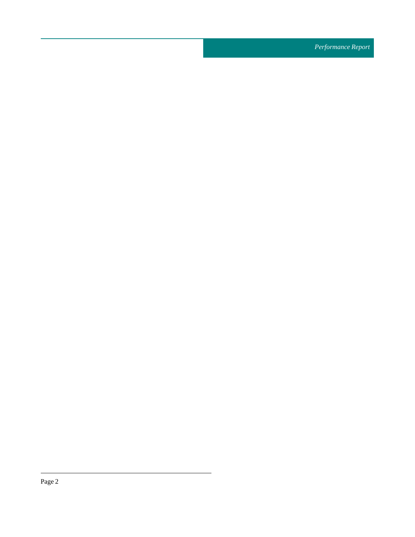*Performance Report*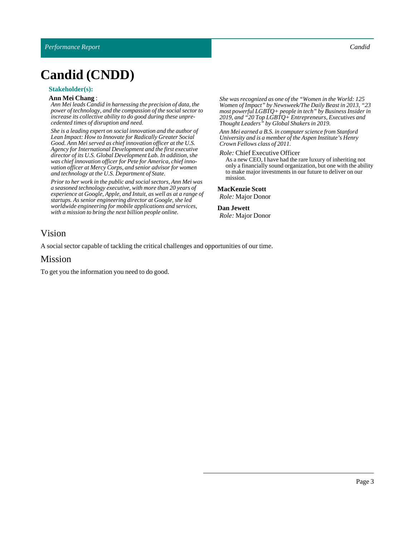# **Candid** (CNDD)

#### **Stakeholder(s):**

#### **Ann Mei Chang** :

*Ann Mei leads Candid in harnessing the precision of data, the power of technology, and the compassion of the social sector to increase its collective ability to do good during these unprecedented times of disruption and need.*

*She is a leading expert on social innovation and the author of Lean Impact: How to Innovate for Radically Greater Social Good. Ann Mei served as chief innovation officer at the U.S. Agency for International Development and the first executive director of its U.S. Global Development Lab. In addition, she was chief innovation officer for Pete for America, chief innovation officer at Mercy Corps, and senior advisor for women and technology at the U.S. Department of State.*

*Prior to her work in the public and social sectors, Ann Mei was a seasoned technology executive, with more than 20 years of experience at Google, Apple, and Intuit, as well as at a range of startups. As senior engineering director at Google, she led worldwide engineering for mobile applications and services, with a mission to bring the next billion people online.*

*She was recognized as one of the "Women in the World: 125 Women of Impact" by Newsweek/The Daily Beast in 2013, "23 most powerful LGBTQ+ people in tech" by Business Insider in 2019, and "20 Top LGBTQ+ Entrepreneurs, Executives and Thought Leaders" by Global Shakers in 2019.*

*Ann Mei earned a B.S. in computer science from Stanford University and is a member of the Aspen Institute's Henry Crown Fellows class of 2011.*

*Role:* Chief Executive Officer

As a new CEO, I have had the rare luxury of inheriting not only a financially sound organization, but one with the ability to make major investments in our future to deliver on our mission.

#### **MacKenzieScott**

*Role:* Major Donor

# **DanJewett**

*Role:* Major Donor

# <span id="page-2-0"></span>Vision

A social sector capable of tackling the critical challenges and opportunities of our time.

# <span id="page-2-1"></span>Mission

To get you the information you need to do good.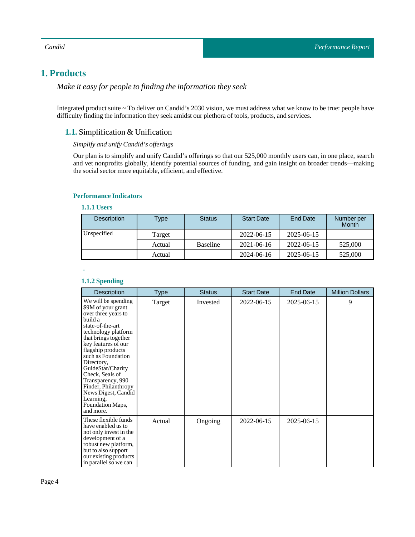# <span id="page-3-0"></span>**1. Products**

*Make it easy for people to finding the information they seek*

<span id="page-3-1"></span>Integrated product suite ~ To deliver on Candid's 2030 vision, we must address what we know to be true: people have difficulty finding the information they seek amidst our plethora of tools, products, and services.

# **1.1.** Simplification & Unification

#### *Simplify and unify Candid's offerings*

Our plan is to simplify and unify Candid's offerings so that our 525,000 monthly users can, in one place, search and vet nonprofits globally, identify potential sources of funding, and gain insight on broader trends—making the social sector more equitable, efficient, and effective.

#### **Performance Indicators**

#### **1.1.1 Users**

| <b>Description</b> | <b>Type</b> | <b>Status</b>   | <b>Start Date</b> | End Date   | Number per<br>Month |
|--------------------|-------------|-----------------|-------------------|------------|---------------------|
| Unspecified        | Target      |                 | 2022-06-15        | 2025-06-15 |                     |
|                    | Actual      | <b>Baseline</b> | 2021-06-16        | 2022-06-15 | 525,000             |
|                    | Actual      |                 | 2024-06-16        | 2025-06-15 | 525,000             |

#### **1.1.2Spending**

-

| Description                                                                                                                                                                                                                                                                                                                                                                              | <b>Type</b> | <b>Status</b> | <b>Start Date</b> | <b>End Date</b> | <b>Million Dollars</b> |
|------------------------------------------------------------------------------------------------------------------------------------------------------------------------------------------------------------------------------------------------------------------------------------------------------------------------------------------------------------------------------------------|-------------|---------------|-------------------|-----------------|------------------------|
| We will be spending<br>\$9M of your grant<br>over three years to<br>build a<br>state-of-the-art<br>technology platform<br>that brings together<br>key features of our<br>flagship products<br>such as Foundation<br>Directory,<br>GuideStar/Charity<br>Check. Seals of<br>Transparency, 990<br>Finder, Philanthropy<br>News Digest, Candid<br>Learning,<br>Foundation Maps,<br>and more. | Target      | Invested      | 2022-06-15        | 2025-06-15      | 9                      |
| These flexible funds<br>have enabled us to<br>not only invest in the<br>development of a<br>robust new platform,<br>but to also support<br>our existing products<br>in parallel so we can                                                                                                                                                                                                | Actual      | Ongoing       | 2022-06-15        | 2025-06-15      |                        |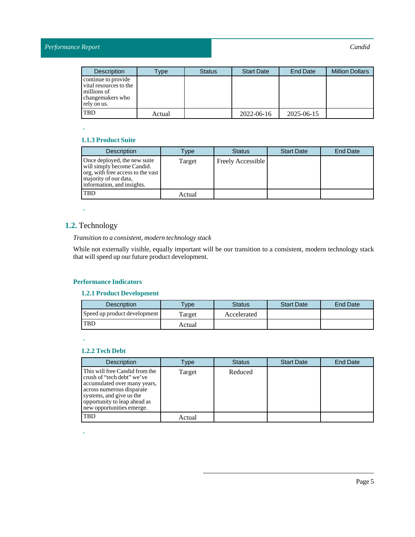#### *Performance Report*

| <b>Description</b>                                                                              | Type   | <b>Status</b> | <b>Start Date</b> | <b>End Date</b> | <b>Million Dollars</b> |
|-------------------------------------------------------------------------------------------------|--------|---------------|-------------------|-----------------|------------------------|
| continue to provide<br>vital resources to the<br>millions of<br>changemakers who<br>rely on us. |        |               |                   |                 |                        |
| <b>TBD</b>                                                                                      | Actual |               | 2022-06-16        | 2025-06-15      |                        |

#### **1.1.3 Product Suite**

-

| <b>Description</b>                                                                                                                                     | <b>Type</b> | <b>Status</b>            | <b>Start Date</b> | <b>End Date</b> |
|--------------------------------------------------------------------------------------------------------------------------------------------------------|-------------|--------------------------|-------------------|-----------------|
| Once deployed, the new suite<br>will simply become Candid.<br>org, with free access to the vast<br>majority of our data,<br>information, and insights. | Target      | <b>Freely Accessible</b> |                   |                 |
| <b>TBD</b>                                                                                                                                             | Actual      |                          |                   |                 |

# <span id="page-4-0"></span>**1.2.** Technology

-

*Transition to a consistent, modern technology stack*

While not externally visible, equally important will be our transition to a consistent, modern technology stack that will speed up our future product development.

#### **Performance Indicators**

#### **1.2.1 Product Development**

| Description                  | $T$ vpe | Status      | <b>Start Date</b> | End Date |
|------------------------------|---------|-------------|-------------------|----------|
| Speed up product development | Target  | Accelerated |                   |          |
| <b>TBD</b>                   | Actual  |             |                   |          |

#### **1.2.2 Tech Debt**

| <b>Description</b>                                                                                                                                                                                                 | Type   | <b>Status</b> | <b>Start Date</b> | <b>End Date</b> |
|--------------------------------------------------------------------------------------------------------------------------------------------------------------------------------------------------------------------|--------|---------------|-------------------|-----------------|
| This will free Candid from the<br>crush of "tech debt" we've<br>accumulated over many years,<br>across numerous disparate<br>systems, and give us the<br>opportunity to leap ahead as<br>new opportunities emerge. | Target | Reduced       |                   |                 |
| <b>TBD</b>                                                                                                                                                                                                         | Actual |               |                   |                 |

-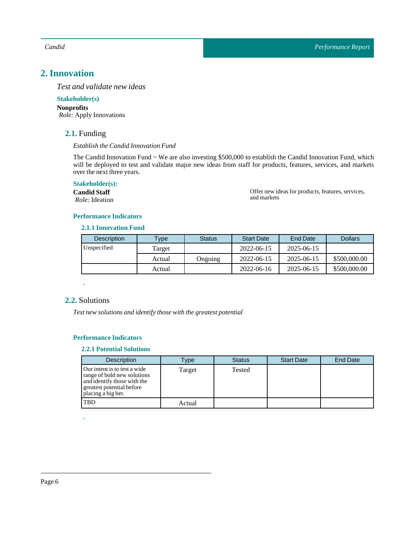# <span id="page-5-0"></span>**2. Innovation**

*Test and validate new ideas*

# **Stakeholder(s) Nonprofits**

<span id="page-5-1"></span>*Role:* Apply Innovations

## **2.1.** Funding

#### *Establish the Candid Innovation Fund*

The Candid Innovation Fund  $\sim$  We are also investing \$500,000 to establish the Candid Innovation Fund, which will be deployed to test and validate major new ideas from staff for products, features, services, and markets over the next three years.

#### **Stakeholder(s):**

**Candid Staff** *Role:* Ideation Offer new ideas for products, features, services, and markets

#### **Performance Indicators**

**2.1.1 Innovation Fund**

| <b>Description</b> | Type   | <b>Status</b> | <b>Start Date</b> | <b>End Date</b> | <b>Dollars</b> |
|--------------------|--------|---------------|-------------------|-----------------|----------------|
| Unspecified        | Target |               | 2022-06-15        | 2025-06-15      |                |
|                    | Actual | Ongoing       | 2022-06-15        | 2025-06-15      | \$500,000.00   |
|                    | Actual |               | 2022-06-16        | 2025-06-15      | \$500,000.00   |

# <span id="page-5-2"></span>**2.2.** Solutions

-

-

*Test new solutions and identify those with the greatest potential*

#### **Performance Indicators**

#### **2.2.1 Potential Solutions**

| <b>Description</b>                                                                                                                            | Type   | <b>Status</b> | <b>Start Date</b> | <b>End Date</b> |
|-----------------------------------------------------------------------------------------------------------------------------------------------|--------|---------------|-------------------|-----------------|
| Our intent is to test a wide<br>range of bold new solutions<br>and identify those with the<br>greatest potential before<br>placing a big bet. | Target | Tested        |                   |                 |
| <b>TBD</b>                                                                                                                                    | Actual |               |                   |                 |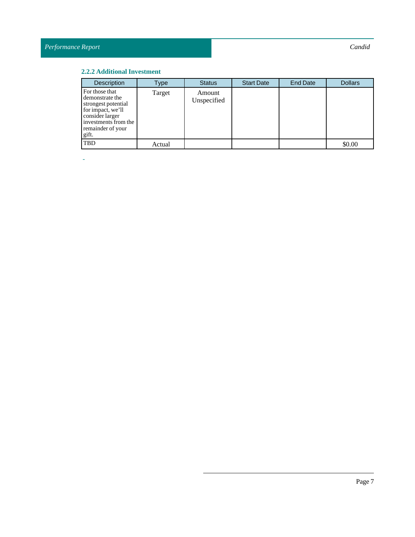### **2.2.2 Additional Investment**

| <b>Description</b>                                                                                                                                     | Type   | <b>Status</b>         | <b>Start Date</b> | <b>End Date</b> | <b>Dollars</b> |
|--------------------------------------------------------------------------------------------------------------------------------------------------------|--------|-----------------------|-------------------|-----------------|----------------|
| For those that<br>demonstrate the<br>strongest potential<br>for impact, we'll<br>consider larger<br>investments from the<br>remainder of your<br>gift. | Target | Amount<br>Unspecified |                   |                 |                |
| TBD                                                                                                                                                    | Actual |                       |                   |                 | \$0.00         |

-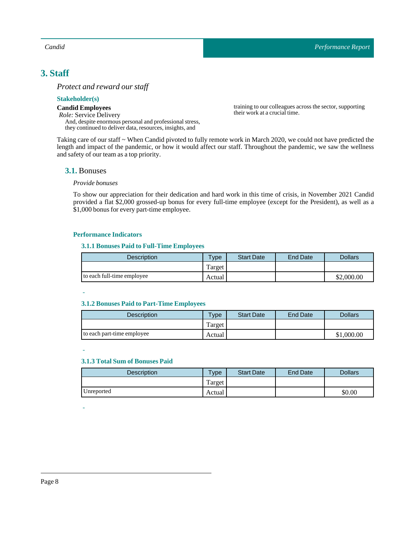<span id="page-7-0"></span>*Protect and reward our staff*

### **Stakeholder(s)**

# **Candid Employees**

*Role:*Service Delivery And, despite enormous personal and professional stress, they continued to deliver data, resources, insights, and

training to our colleagues across the sector, supporting their work at a crucial time.

<span id="page-7-1"></span>Taking care of our staff ~ When Candid pivoted to fully remote work in March 2020, we could not have predicted the length and impact of the pandemic, or how it would affect our staff. Throughout the pandemic, we saw the wellness and safety of our team as a top priority.

#### **3.1.** Bonuses

-

-

-

#### *Provide bonuses*

To show our appreciation for their dedication and hard work in this time of crisis, in November 2021 Candid provided a flat \$2,000 grossed-up bonus for every full-time employee (except for the President), as well as a \$1,000 bonus for every part-time employee.

#### **Performance Indicators**

#### **3.1.1 Bonuses Paidto Full-Time Employees**

| <b>Description</b>         | Type    | <b>Start Date</b> | <b>End Date</b> | <b>Dollars</b> |
|----------------------------|---------|-------------------|-----------------|----------------|
|                            | Target, |                   |                 |                |
| to each full-time employee | Actual  |                   |                 | \$2,000.00     |

#### **3.1.2 Bonuses Paidto Part-Time Employees**

| <b>Description</b>         | $T$ <sub>V</sub> $pe$ | <b>Start Date</b> | <b>End Date</b> | <b>Dollars</b> |
|----------------------------|-----------------------|-------------------|-----------------|----------------|
|                            | Target,               |                   |                 |                |
| to each part-time employee | Actual                |                   |                 | \$1,000.00     |

#### **3.1.3 TotalSum of Bonuses Paid**

| Description | $T$ <sub>V</sub> $pe$ | <b>Start Date</b> | End Date | <b>Dollars</b> |
|-------------|-----------------------|-------------------|----------|----------------|
|             | Target                |                   |          |                |
| Unreported  | Actual                |                   |          | \$0.00         |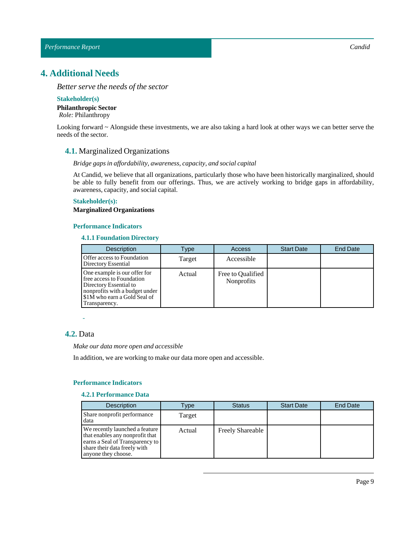# <span id="page-8-0"></span>**4. Additional Needs**

*Better serve the needs of the sector*

**Stakeholder(s) Philanthropic Sector** *Role:*Philanthropy

<span id="page-8-1"></span>Looking forward ~ Alongside these investments, we are also taking a hard look at other ways we can better serve the needs of the sector.

#### **4.1.** Marginalized Organizations

#### *Bridge gaps in affordability, awareness, capacity, and social capital*

At Candid, we believe that all organizations, particularly those who have been historically marginalized, should be able to fully benefit from our offerings. Thus, we are actively working to bridge gaps in affordability, awareness, capacity, and social capital.

#### **Stakeholder(s):**

#### **Marginalized Organizations**

#### **Performance Indicators**

#### **4.1.1 Foundation Directory**

| <b>Description</b>                                                                                                                                                     | Type   | Access                          | <b>Start Date</b> | <b>End Date</b> |
|------------------------------------------------------------------------------------------------------------------------------------------------------------------------|--------|---------------------------------|-------------------|-----------------|
| <b>Offer access to Foundation</b><br>Directory Essential                                                                                                               | Target | Accessible                      |                   |                 |
| One example is our offer for<br>free access to Foundation<br>Directory Essential to<br>nonprofits with a budget under<br>\$1M who earn a Gold Seal of<br>Transparency. | Actual | Free to Qualified<br>Nonprofits |                   |                 |

#### <span id="page-8-2"></span>**4.2.** Data

-

*Make our data more open and accessible*

In addition, we are working to make our data more open and accessible.

#### **Performance Indicators**

#### **4.2.1 Performance Data**

| <b>Description</b>                                                                                                                                          | Type   | <b>Status</b>           | <b>Start Date</b> | End Date |
|-------------------------------------------------------------------------------------------------------------------------------------------------------------|--------|-------------------------|-------------------|----------|
| Share nonprofit performance<br>data                                                                                                                         | Target |                         |                   |          |
| We recently launched a feature<br>that enables any nonprofit that<br>earns a Seal of Transparency to<br>share their data freely with<br>anyone they choose. | Actual | <b>Freely Shareable</b> |                   |          |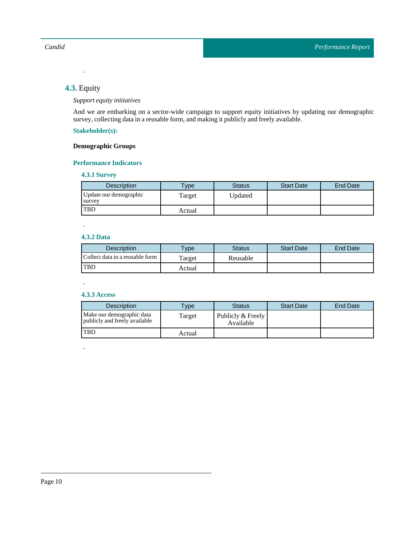# <span id="page-9-0"></span>**4.3.** Equity

-

### *Support equity initiatives*

And we are embarking on a sector-wide campaign to support equity initiatives by updating our demographic survey, collecting data in a reusable form, and making it publicly and freely available.

#### **Stakeholder(s):**

#### **Demographic Groups**

#### **Performance Indicators**

#### **4.3.1Survey**

| Description                      | vpe    | <b>Status</b> | <b>Start Date</b> | <b>End Date</b> |
|----------------------------------|--------|---------------|-------------------|-----------------|
| Update our demographic<br>survey | Target | Updated       |                   |                 |
| <b>TBD</b>                       | Actual |               |                   |                 |

# **4.3.2 Data**

-

-

-

| Description                     | <b>VDe</b> | Status   | <b>Start Date</b> | <b>End Date</b> |
|---------------------------------|------------|----------|-------------------|-----------------|
| Collect data in a reusable form | Target     | Reusable |                   |                 |
| <b>TBD</b>                      | Actual     |          |                   |                 |

#### **4.3.3 Access**

| <b>Description</b>                                         | $T$ vpe | <b>Status</b>                  | <b>Start Date</b> | <b>End Date</b> |
|------------------------------------------------------------|---------|--------------------------------|-------------------|-----------------|
| Make our demographic data<br>publicly and freely available | Target  | Publicly & Freely<br>Available |                   |                 |
| <b>TBD</b>                                                 | Actual  |                                |                   |                 |